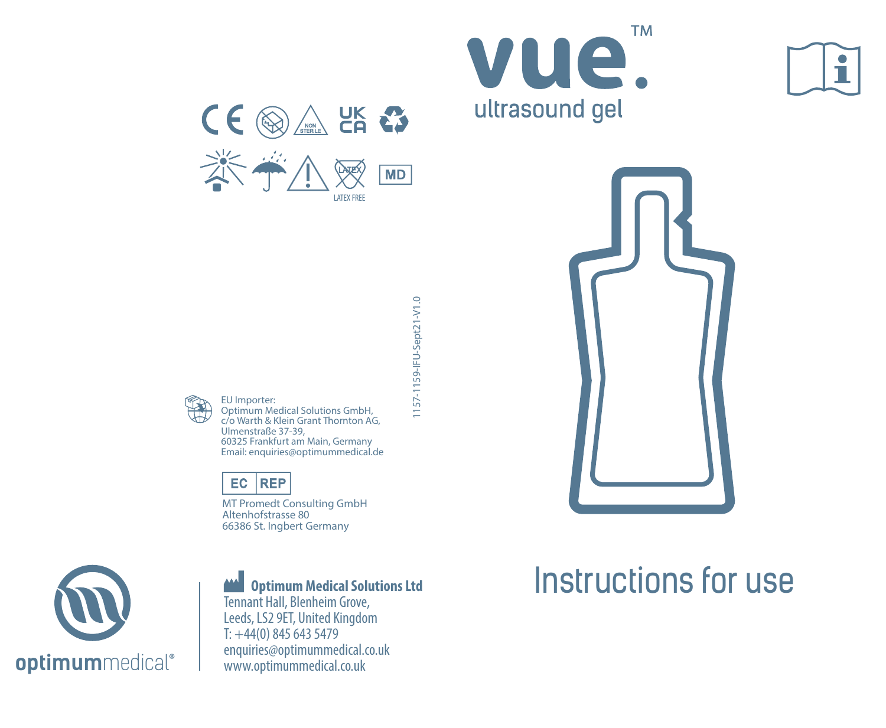

LATEV FRE











EU Importer:

Optimum Medical Solutions GmbH, c/o Warth & Klein Grant Thornton AG, Ulmenstraße 37-39, 60325 Frankfurt am Main, Germany Email: enquiries@optimummedical.de

# EC REP

MT Promedt Consulting GmbH Altenhofstrasse 80 66386 St. Ingbert Germany



# **Optimum Medical Solutions Ltd**

Tennant Hall, Blenheim Grove, Leeds, LS2 9ET, United Kingdom T: +44(0) 845 643 5479 enquiries@optimummedical.co.uk www.optimummedical.co.uk

# Instructions for use